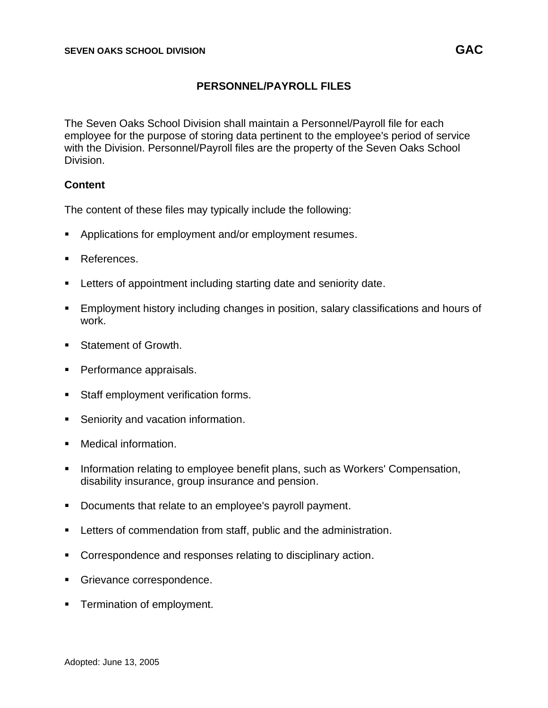# **PERSONNEL/PAYROLL FILES**

The Seven Oaks School Division shall maintain a Personnel/Payroll file for each employee for the purpose of storing data pertinent to the employee's period of service with the Division. Personnel/Payroll files are the property of the Seven Oaks School Division.

## **Content**

The content of these files may typically include the following:

- Applications for employment and/or employment resumes.
- References.
- Letters of appointment including starting date and seniority date.
- Employment history including changes in position, salary classifications and hours of work.
- Statement of Growth.
- Performance appraisals.
- Staff employment verification forms.
- Seniority and vacation information.
- Medical information.
- **EXT** Information relating to employee benefit plans, such as Workers' Compensation, disability insurance, group insurance and pension.
- Documents that relate to an employee's payroll payment.
- **EXECTE:** Letters of commendation from staff, public and the administration.
- Correspondence and responses relating to disciplinary action.
- Grievance correspondence.
- **EXECUTE:** Termination of employment.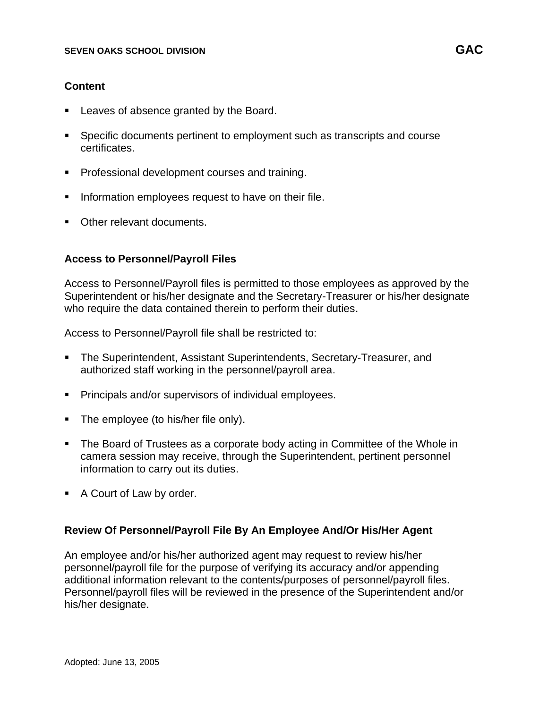## **Content**

- Leaves of absence granted by the Board.
- Specific documents pertinent to employment such as transcripts and course certificates.
- Professional development courses and training.
- **•** Information employees request to have on their file.
- Other relevant documents.

## **Access to Personnel/Payroll Files**

Access to Personnel/Payroll files is permitted to those employees as approved by the Superintendent or his/her designate and the Secretary-Treasurer or his/her designate who require the data contained therein to perform their duties.

Access to Personnel/Payroll file shall be restricted to:

- The Superintendent, Assistant Superintendents, Secretary-Treasurer, and authorized staff working in the personnel/payroll area.
- Principals and/or supervisors of individual employees.
- The employee (to his/her file only).
- The Board of Trustees as a corporate body acting in Committee of the Whole in camera session may receive, through the Superintendent, pertinent personnel information to carry out its duties.
- A Court of Law by order.

## **Review Of Personnel/Payroll File By An Employee And/Or His/Her Agent**

An employee and/or his/her authorized agent may request to review his/her personnel/payroll file for the purpose of verifying its accuracy and/or appending additional information relevant to the contents/purposes of personnel/payroll files. Personnel/payroll files will be reviewed in the presence of the Superintendent and/or his/her designate.